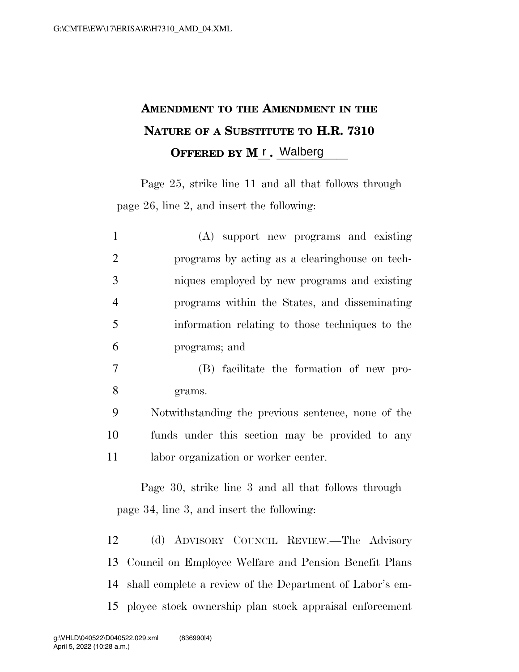## **AMENDMENT TO THE AMENDMENT IN THE NATURE OF A SUBSTITUTE TO H.R. 7310 OFFERED BY M<sub>L</sub>.** Walberg

Page 25, strike line 11 and all that follows through page 26, line 2, and insert the following:

| $\mathbf{1}$   | (A) support new programs and existing                                                             |
|----------------|---------------------------------------------------------------------------------------------------|
| $\overline{2}$ | programs by acting as a clearinghouse on tech-                                                    |
| 3              | niques employed by new programs and existing                                                      |
| $\overline{4}$ | programs within the States, and disseminating                                                     |
| 5              | information relating to those techniques to the                                                   |
| 6              | programs; and                                                                                     |
| 7              | (B) facilitate the formation of new pro-                                                          |
| 8              | grams.                                                                                            |
| 9              | Notwithstanding the previous sentence, none of the                                                |
| 10             | funds under this section may be provided to any                                                   |
| 11             | labor organization or worker center.                                                              |
|                | Page 30, strike line 3 and all that follows through<br>page 34, line 3, and insert the following: |
| 12             | (d) ADVISORY COUNCIL REVIEW.—The Advisory                                                         |
|                | 13 Council on Employee Welfare and Pension Benefit Plans                                          |

15 ployee stock ownership plan stock appraisal enforcement

14 shall complete a review of the Department of Labor's em-